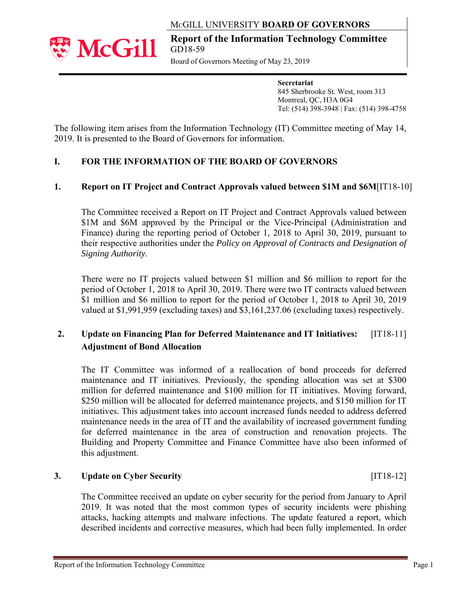## MCGILL UNIVERSITY **BOARD OF GOVERNORS**



**Report of the Information Technology Committee** GD18-59

Board of Governors Meeting of May 23, 2019

**Secretariat**  845 Sherbrooke St. West, room 313 Montreal, QC, H3A 0G4 Tel: (514) 398-3948 | Fax: (514) 398-4758

The following item arises from the Information Technology (IT) Committee meeting of May 14, 2019. It is presented to the Board of Governors for information.

## **I. FOR THE INFORMATION OF THE BOARD OF GOVERNORS**

### **1. Report on IT Project and Contract Approvals valued between \$1M and \$6M**[IT18-10]

The Committee received a Report on IT Project and Contract Approvals valued between \$1M and \$6M approved by the Principal or the Vice-Principal (Administration and Finance) during the reporting period of October 1, 2018 to April 30, 2019, pursuant to their respective authorities under the *Policy on Approval of Contracts and Designation of Signing Authority*.

There were no IT projects valued between \$1 million and \$6 million to report for the period of October 1, 2018 to April 30, 2019. There were two IT contracts valued between \$1 million and \$6 million to report for the period of October 1, 2018 to April 30, 2019 valued at \$1,991,959 (excluding taxes) and \$3,161,237.06 (excluding taxes) respectively.

# **2. Update on Financing Plan for Deferred Maintenance and IT Initiatives:** [IT18-11]  **Adjustment of Bond Allocation**

The IT Committee was informed of a reallocation of bond proceeds for deferred maintenance and IT initiatives. Previously, the spending allocation was set at \$300 million for deferred maintenance and \$100 million for IT initiatives. Moving forward, \$250 million will be allocated for deferred maintenance projects, and \$150 million for IT initiatives. This adjustment takes into account increased funds needed to address deferred maintenance needs in the area of IT and the availability of increased government funding for deferred maintenance in the area of construction and renovation projects. The Building and Property Committee and Finance Committee have also been informed of this adjustment.

#### **3. Update on Cyber Security** [IT18-12]

The Committee received an update on cyber security for the period from January to April 2019. It was noted that the most common types of security incidents were phishing attacks, hacking attempts and malware infections. The update featured a report, which described incidents and corrective measures, which had been fully implemented. In order